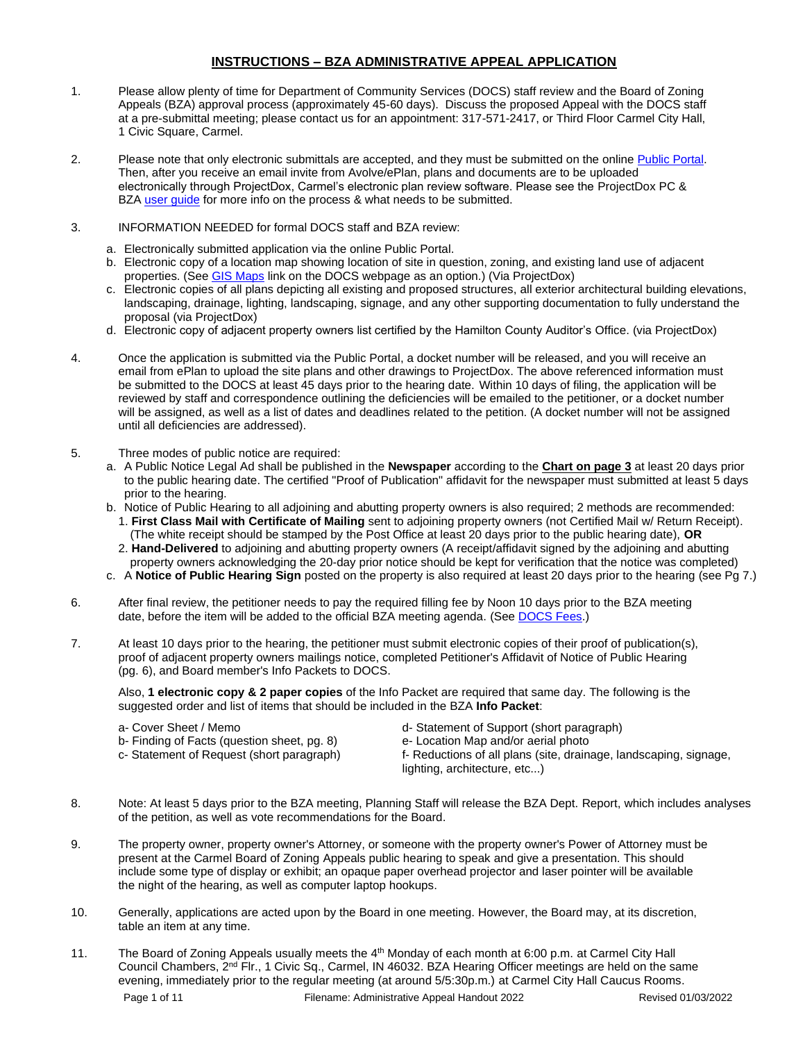### **INSTRUCTIONS – BZA ADMINISTRATIVE APPEAL APPLICATION**

- 1. Please allow plenty of time for Department of Community Services (DOCS) staff review and the Board of Zoning Appeals (BZA) approval process (approximately 45-60 days). Discuss the proposed Appeal with the DOCS staff at a pre-submittal meeting; please contact us for an appointment: 317-571-2417, or Third Floor Carmel City Hall, 1 Civic Square, Carmel.
- 2. Please note that only electronic submittals are accepted, and they must be submitted on the online Public Portal. Then, after you receive an email invite from Avolve/ePlan, plans and documents are to be uploaded electronically through ProjectDox, Carmel's electronic plan review software. Please see the ProjectDox PC & BZA [user guide](https://www.carmel.in.gov/government/departments-services/community-services/projectdox-eplans) for more info on the process & what needs to be submitted.
- 3. INFORMATION NEEDED for formal DOCS staff and BZA review:
	- a. Electronically submitted application via the online Public Portal.
	- b. Electronic copy of a location map showing location of site in question, zoning, and existing land use of adjacent properties. (See [GIS Maps](https://carmelgis.carmel.in.gov/maps/apps/webappviewer/index.html?id=3005d15bb8ee47c48538605fa421a359&extent=-9600433.8691%2C4865462.0861%2C-9599860.5914%2C4865778.5832%2C102100) link on the DOCS webpage as an option.) (Via ProjectDox)
	- c. Electronic copies of all plans depicting all existing and proposed structures, all exterior architectural building elevations, landscaping, drainage, lighting, landscaping, signage, and any other supporting documentation to fully understand the proposal (via ProjectDox)
	- d. Electronic copy of adjacent property owners list certified by the Hamilton County Auditor's Office. (via ProjectDox)
- 4. Once the application is submitted via the Public Portal, a docket number will be released, and you will receive an email from ePlan to upload the site plans and other drawings to ProjectDox. The above referenced information must be submitted to the DOCS at least 45 days prior to the hearing date. Within 10 days of filing, the application will be reviewed by staff and correspondence outlining the deficiencies will be emailed to the petitioner, or a docket number will be assigned, as well as a list of dates and deadlines related to the petition. (A docket number will not be assigned until all deficiencies are addressed).
- 5. Three modes of public notice are required:
	- a. A Public Notice Legal Ad shall be published in the **Newspaper** according to the **Chart on page 3** at least 20 days prior to the public hearing date. The certified "Proof of Publication" affidavit for the newspaper must submitted at least 5 days prior to the hearing.
	- b. Notice of Public Hearing to all adjoining and abutting property owners is also required; 2 methods are recommended: 1. **First Class Mail with Certificate of Mailing** sent to adjoining property owners (not Certified Mail w/ Return Receipt).
		- (The white receipt should be stamped by the Post Office at least 20 days prior to the public hearing date), **OR** 2. **Hand-Delivered** to adjoining and abutting property owners (A receipt/affidavit signed by the adjoining and abutting
		- property owners acknowledging the 20-day prior notice should be kept for verification that the notice was completed)
	- c. A **Notice of Public Hearing Sign** posted on the property is also required at least 20 days prior to the hearing (see Pg 7.)
- 6. After final review, the petitioner needs to pay the required filling fee by Noon 10 days prior to the BZA meeting date, before the item will be added to the official BZA meeting agenda. (See [DOCS Fees.](https://www.carmel.in.gov/department-services/community-services-planning-and-zoning-/applications-fees-and-permits))
- 7. At least 10 days prior to the hearing, the petitioner must submit electronic copies of their proof of publication(s), proof of adjacent property owners mailings notice, completed Petitioner's Affidavit of Notice of Public Hearing (pg. 6), and Board member's Info Packets to DOCS.

Also, **1 electronic copy & 2 paper copies** of the Info Packet are required that same day. The following is the suggested order and list of items that should be included in the BZA **Info Packet**:

b- Finding of Facts (question sheet, pg. 8) e- Location Map and/or aerial photo

- a- Cover Sheet / Memo d- Statement of Support (short paragraph)
	-
- c- Statement of Request (short paragraph) f- Reductions of all plans (site, drainage, landscaping, signage, lighting, architecture, etc...)
- 8. Note: At least 5 days prior to the BZA meeting, Planning Staff will release the BZA Dept. Report, which includes analyses of the petition, as well as vote recommendations for the Board.
- 9. The property owner, property owner's Attorney, or someone with the property owner's Power of Attorney must be present at the Carmel Board of Zoning Appeals public hearing to speak and give a presentation. This should include some type of display or exhibit; an opaque paper overhead projector and laser pointer will be available the night of the hearing, as well as computer laptop hookups.
- 10. Generally, applications are acted upon by the Board in one meeting. However, the Board may, at its discretion, table an item at any time.
- Page 1 of 11 Filename: Administrative Appeal Handout 2022 Revised 01/03/2022 11. The Board of Zoning Appeals usually meets the 4<sup>th</sup> Monday of each month at 6:00 p.m. at Carmel City Hall Council Chambers, 2<sup>nd</sup> Flr., 1 Civic Sq., Carmel, IN 46032. BZA Hearing Officer meetings are held on the same evening, immediately prior to the regular meeting (at around 5/5:30p.m.) at Carmel City Hall Caucus Rooms.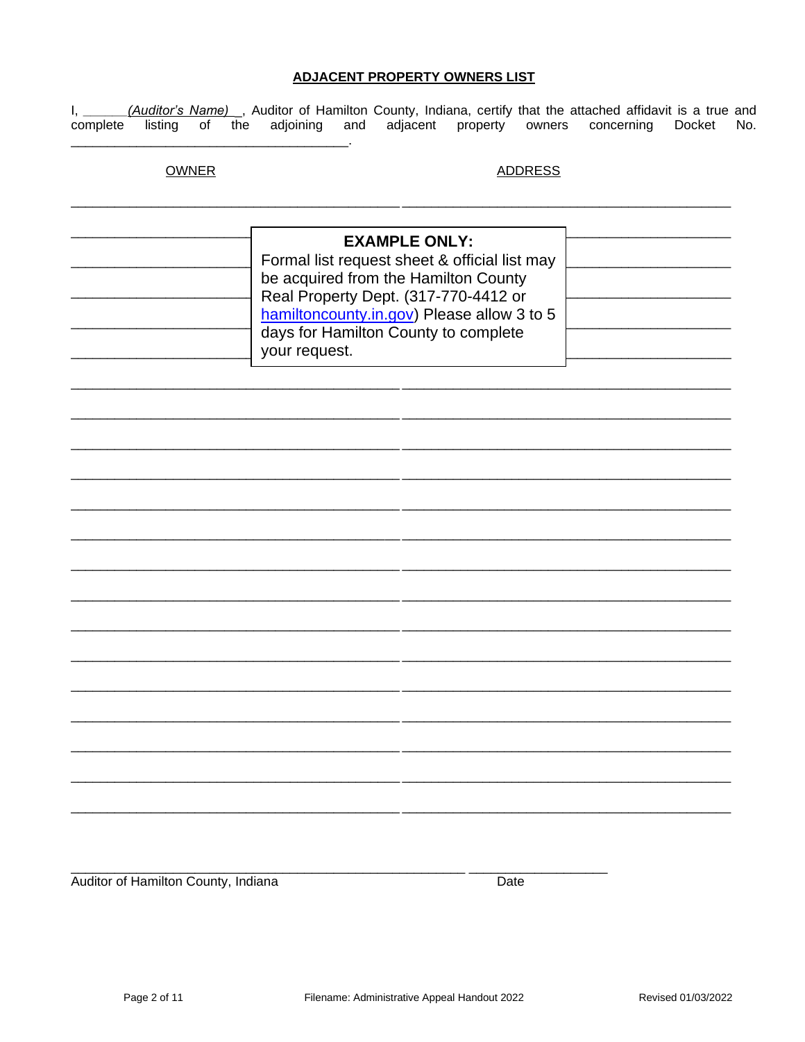## **ADJACENT PROPERTY OWNERS LIST**

(Auditor's Name) \_, Auditor of Hamilton County, Indiana, certify that the attached affidavit is a true and  $I, \_$ listing of the adjoining and adjacent property owners complete concerning Docket No.

# **OWNER**

## **ADDRESS**

|  | <b>EXAMPLE ONLY:</b><br>Formal list request sheet & official list may<br>be acquired from the Hamilton County<br>Real Property Dept. (317-770-4412 or<br>hamiltoncounty.in.gov) Please allow 3 to 5<br>days for Hamilton County to complete<br>your request. |  |
|--|--------------------------------------------------------------------------------------------------------------------------------------------------------------------------------------------------------------------------------------------------------------|--|
|--|--------------------------------------------------------------------------------------------------------------------------------------------------------------------------------------------------------------------------------------------------------------|--|

Auditor of Hamilton County, Indiana

Date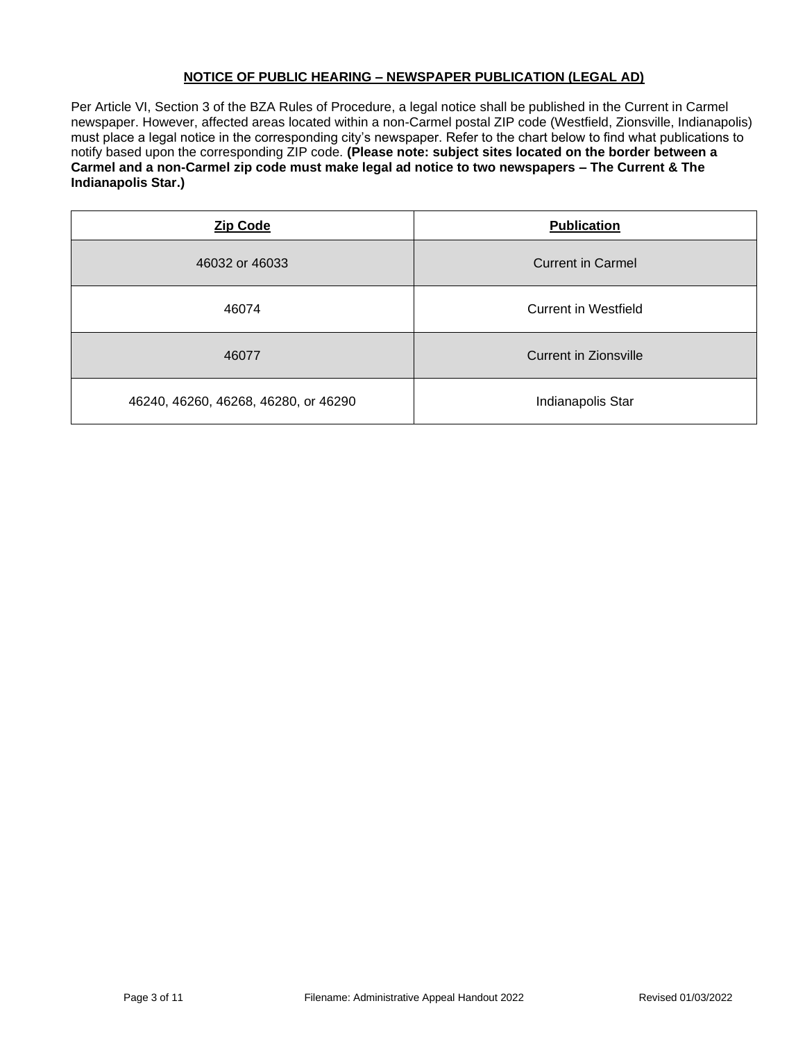## **NOTICE OF PUBLIC HEARING – NEWSPAPER PUBLICATION (LEGAL AD)**

Per Article VI, Section 3 of the BZA Rules of Procedure, a legal notice shall be published in the Current in Carmel newspaper. However, affected areas located within a non-Carmel postal ZIP code (Westfield, Zionsville, Indianapolis) must place a legal notice in the corresponding city's newspaper. Refer to the chart below to find what publications to notify based upon the corresponding ZIP code. **(Please note: subject sites located on the border between a Carmel and a non-Carmel zip code must make legal ad notice to two newspapers – The Current & The Indianapolis Star.)**

| <b>Zip Code</b>                      | <b>Publication</b>       |
|--------------------------------------|--------------------------|
| 46032 or 46033                       | <b>Current in Carmel</b> |
| 46074                                | Current in Westfield     |
| 46077                                | Current in Zionsville    |
| 46240, 46260, 46268, 46280, or 46290 | Indianapolis Star        |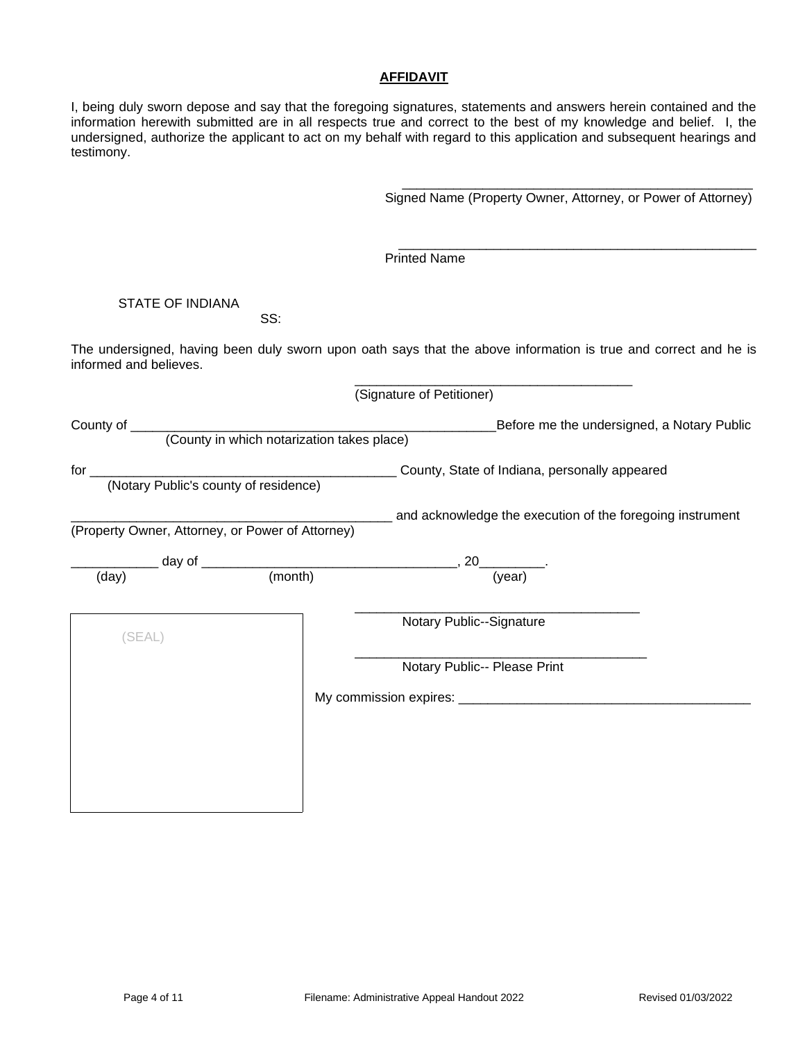#### **AFFIDAVIT**

I, being duly sworn depose and say that the foregoing signatures, statements and answers herein contained and the information herewith submitted are in all respects true and correct to the best of my knowledge and belief. I, the undersigned, authorize the applicant to act on my behalf with regard to this application and subsequent hearings and testimony.

Signed Name (Property Owner, Attorney, or Power of Attorney)

\_\_\_\_\_\_\_\_\_\_\_\_\_\_\_\_\_\_\_\_\_\_\_\_\_\_\_\_\_\_\_\_\_\_\_\_\_\_\_\_\_\_\_\_\_\_\_\_

\_\_\_\_\_\_\_\_\_\_\_\_\_\_\_\_\_\_\_\_\_\_\_\_\_\_\_\_\_\_\_\_\_\_\_\_\_\_\_\_\_\_\_\_\_\_\_\_\_

Printed Name

## STATE OF INDIANA

SS:

The undersigned, having been duly sworn upon oath says that the above information is true and correct and he is informed and believes.

\_\_\_\_\_\_\_\_\_\_\_\_\_\_\_\_\_\_\_\_\_\_\_\_\_\_\_\_\_\_\_\_\_\_\_\_\_\_

|                                                                               |                                                  | (Signature of Petitioner)                                 |
|-------------------------------------------------------------------------------|--------------------------------------------------|-----------------------------------------------------------|
|                                                                               |                                                  | Before me the undersigned, a Notary Public                |
|                                                                               |                                                  |                                                           |
|                                                                               |                                                  |                                                           |
|                                                                               |                                                  |                                                           |
|                                                                               | (Property Owner, Attorney, or Power of Attorney) | and acknowledge the execution of the foregoing instrument |
|                                                                               |                                                  |                                                           |
| day of $\frac{1}{(day)}$ day of $\frac{1}{(month)}$ , 20 $\frac{1}{(year)}$ . |                                                  |                                                           |
|                                                                               |                                                  |                                                           |
| (SEAL)                                                                        |                                                  | Notary Public--Signature                                  |
|                                                                               |                                                  | Notary Public-- Please Print                              |
|                                                                               |                                                  |                                                           |
|                                                                               |                                                  |                                                           |
|                                                                               |                                                  |                                                           |
|                                                                               |                                                  |                                                           |
|                                                                               |                                                  |                                                           |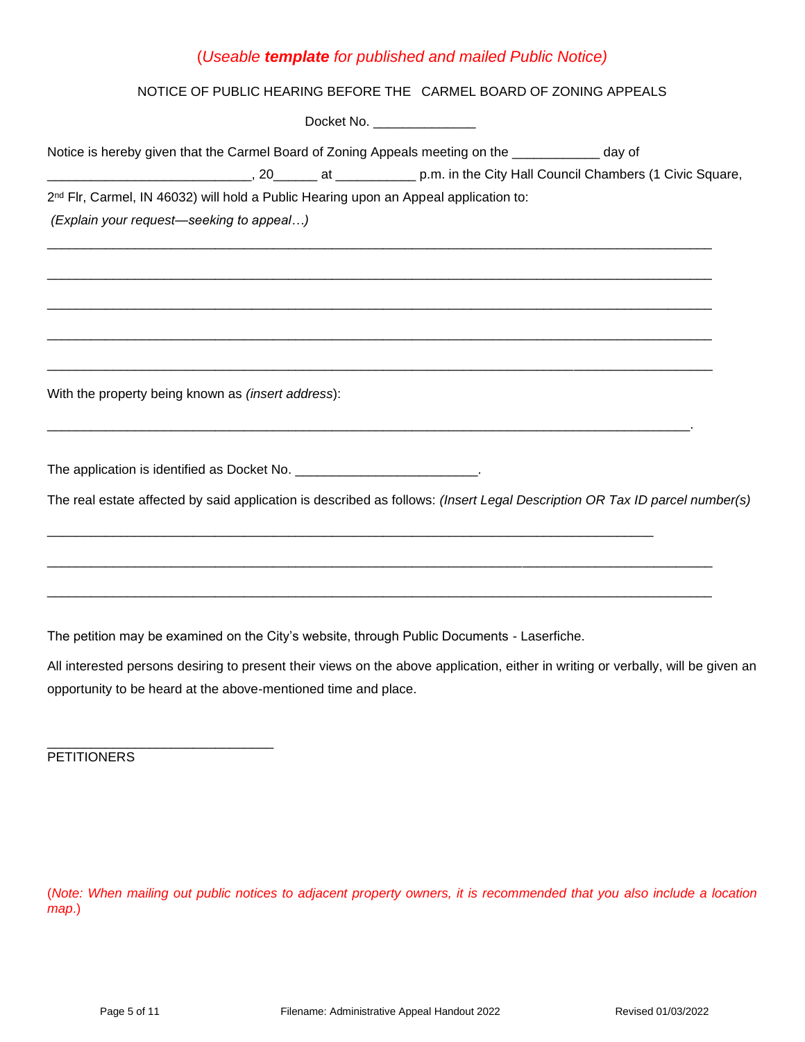# (*Useable template for published and mailed Public Notice)*

## NOTICE OF PUBLIC HEARING BEFORE THE CARMEL BOARD OF ZONING APPEALS

| Docket No. _________________                                                                                                                                                                       |
|----------------------------------------------------------------------------------------------------------------------------------------------------------------------------------------------------|
| Notice is hereby given that the Carmel Board of Zoning Appeals meeting on the ____________ day of                                                                                                  |
| 2 <sup>nd</sup> Flr, Carmel, IN 46032) will hold a Public Hearing upon an Appeal application to:<br>(Explain your request-seeking to appeal)                                                       |
|                                                                                                                                                                                                    |
| With the property being known as <i>(insert address)</i> :                                                                                                                                         |
| The application is identified as Docket No. ___________________________.                                                                                                                           |
| The real estate affected by said application is described as follows: (Insert Legal Description OR Tax ID parcel number(s)                                                                         |
|                                                                                                                                                                                                    |
| The petition may be examined on the City's website, through Public Documents - Laserfiche.                                                                                                         |
| All interested persons desiring to present their views on the above application, either in writing or verbally, will be given an<br>opportunity to be heard at the above-mentioned time and place. |
| <b>PETITIONERS</b>                                                                                                                                                                                 |

(*Note: When mailing out public notices to adjacent property owners, it is recommended that you also include a location map*.)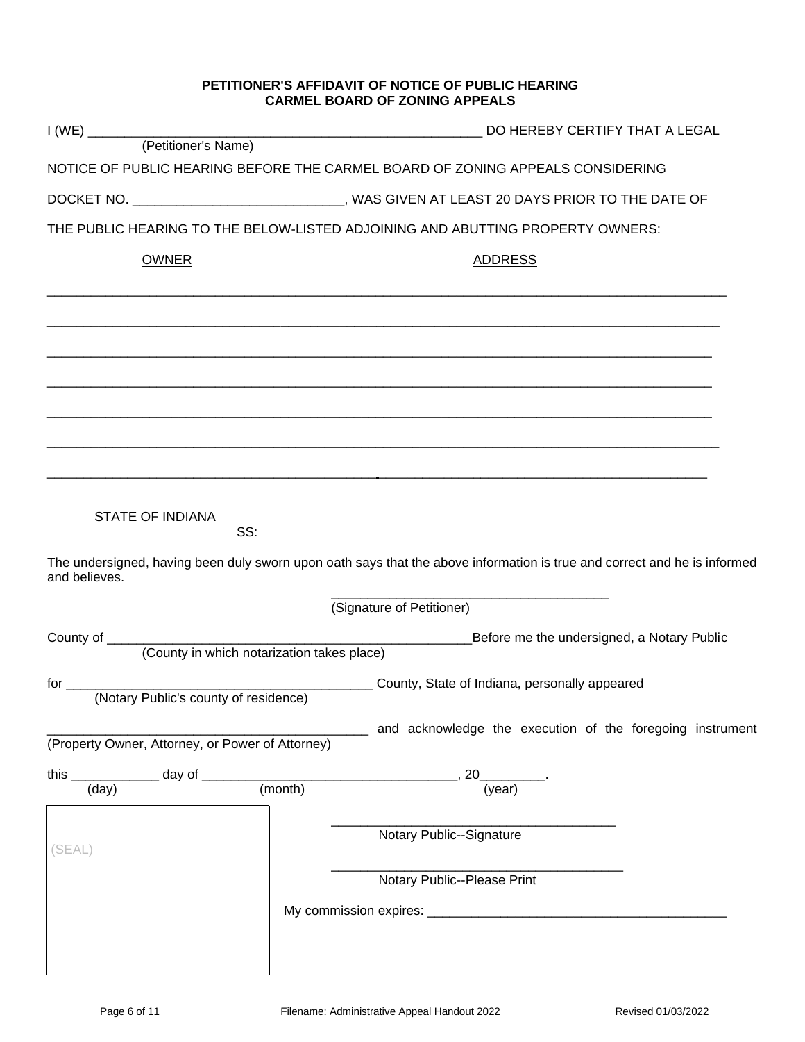### **PETITIONER'S AFFIDAVIT OF NOTICE OF PUBLIC HEARING CARMEL BOARD OF ZONING APPEALS**

|                                                     |                                                                                              | NOTICE OF PUBLIC HEARING BEFORE THE CARMEL BOARD OF ZONING APPEALS CONSIDERING                                           |  |
|-----------------------------------------------------|----------------------------------------------------------------------------------------------|--------------------------------------------------------------------------------------------------------------------------|--|
|                                                     | DOCKET NO. ________________________________, WAS GIVEN AT LEAST 20 DAYS PRIOR TO THE DATE OF |                                                                                                                          |  |
|                                                     |                                                                                              | THE PUBLIC HEARING TO THE BELOW-LISTED ADJOINING AND ABUTTING PROPERTY OWNERS:                                           |  |
| <b>OWNER</b>                                        |                                                                                              | <b>ADDRESS</b>                                                                                                           |  |
|                                                     |                                                                                              |                                                                                                                          |  |
|                                                     |                                                                                              |                                                                                                                          |  |
|                                                     |                                                                                              |                                                                                                                          |  |
|                                                     |                                                                                              |                                                                                                                          |  |
|                                                     |                                                                                              |                                                                                                                          |  |
|                                                     |                                                                                              |                                                                                                                          |  |
| <b>STATE OF INDIANA</b><br>and believes.            | SS:                                                                                          | The undersigned, having been duly sworn upon oath says that the above information is true and correct and he is informed |  |
|                                                     |                                                                                              | (Signature of Petitioner)                                                                                                |  |
|                                                     |                                                                                              |                                                                                                                          |  |
|                                                     | (County in which notarization takes place)                                                   |                                                                                                                          |  |
| for $\_\_$<br>(Notary Public's county of residence) |                                                                                              | <b>County, State of Indiana, personally appeared</b> County, State of Indiana, personally appeared                       |  |
|                                                     |                                                                                              | and acknowledge the execution of the foregoing instrument                                                                |  |
| (Property Owner, Attorney, or Power of Attorney)    |                                                                                              |                                                                                                                          |  |
|                                                     |                                                                                              |                                                                                                                          |  |
|                                                     |                                                                                              | this $\frac{1}{(day)}$ day of $\frac{1}{(month)}$ , 20 $\frac{1}{(year)}$                                                |  |
|                                                     |                                                                                              |                                                                                                                          |  |
| (SEAL)                                              |                                                                                              | Notary Public--Signature                                                                                                 |  |
|                                                     |                                                                                              | Notary Public--Please Print                                                                                              |  |
|                                                     |                                                                                              |                                                                                                                          |  |
|                                                     |                                                                                              |                                                                                                                          |  |
|                                                     |                                                                                              |                                                                                                                          |  |
|                                                     |                                                                                              |                                                                                                                          |  |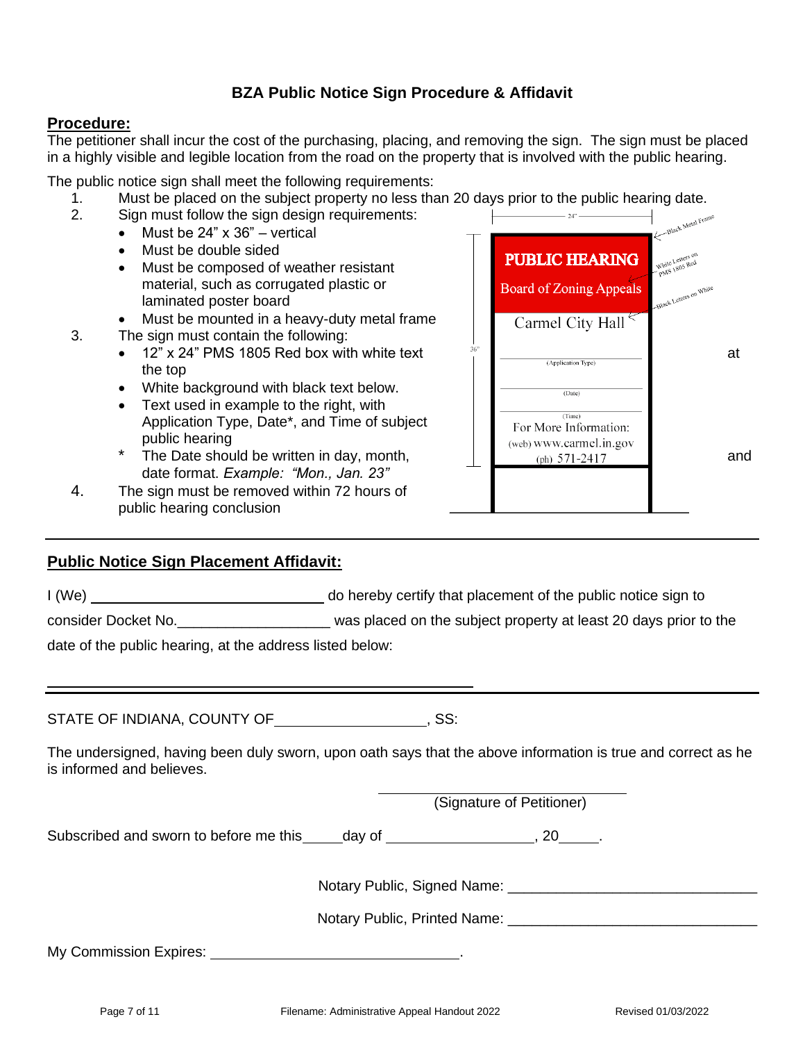# **BZA Public Notice Sign Procedure & Affidavit**

## **Procedure:**

The petitioner shall incur the cost of the purchasing, placing, and removing the sign. The sign must be placed in a highly visible and legible location from the road on the property that is involved with the public hearing.

The public notice sign shall meet the following requirements:

- 1. Must be placed on the subject property no less than 20 days prior to the public hearing date.<br>2. Sign must follow the sign design requirements:
	- Sign must follow the sign design requirements:
		- Must be  $24" \times 36"$  vertical
			- Must be double sided
			- Must be composed of weather resistant material, such as corrugated plastic or laminated poster board
			- Must be mounted in a heavy-duty metal frame
- 3. The sign must contain the following:
	- 12" x 24" PMS 1805 Red box with white text  $\frac{36}{1}$   $\frac{1}{\sqrt{(\text{Application Type})}}$  at the top
	- White background with black text below.
	- Text used in example to the right, with Application Type, Date\*, and Time of subject public hearing
	- date format. *Example: "Mon., Jan. 23"*
- 4. The sign must be removed within 72 hours of public hearing conclusion



I (We) do hereby certify that placement of the public notice sign to

consider Docket No. \_\_\_\_\_\_\_\_\_\_\_\_\_\_\_\_\_\_\_\_\_\_\_\_ was placed on the subject property at least 20 days prior to the

date of the public hearing, at the address listed below:

STATE OF INDIANA, COUNTY OF **FILLIPT** (SS:

The undersigned, having been duly sworn, upon oath says that the above information is true and correct as he is informed and believes.

(Signature of Petitioner)

Subscribed and sworn to before me this day of  $\sim$ , 20  $\sim$ .

Notary Public, Signed Name: \_\_\_\_\_\_\_\_\_\_\_\_\_\_\_\_\_\_\_\_\_\_\_\_\_\_\_\_\_\_\_

Notary Public, Printed Name: \_\_\_\_\_\_\_\_\_\_\_\_\_\_\_\_\_\_\_\_\_\_\_\_\_\_\_\_\_\_\_

My Commission Expires: .

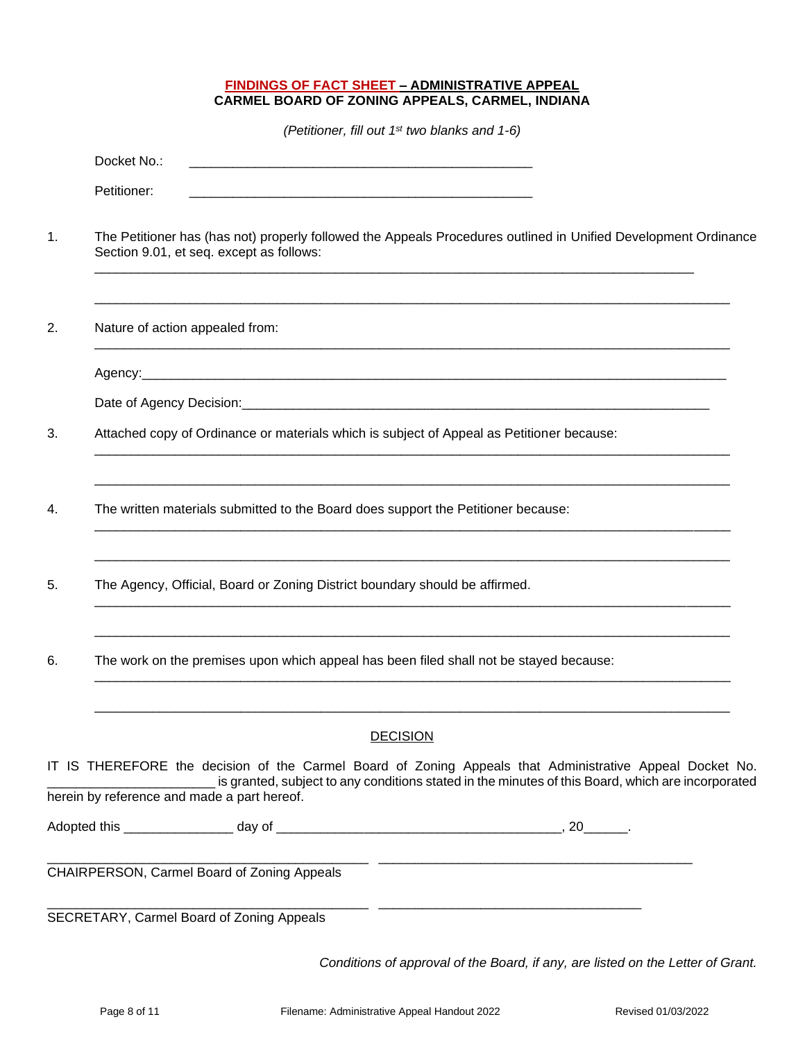#### **FINDINGS OF FACT SHEET – ADMINISTRATIVE APPEAL CARMEL BOARD OF ZONING APPEALS, CARMEL, INDIANA**

*(Petitioner, fill out 1st two blanks and 1-6)*

|    | Docket No.:                                                                                                                                                                                                                                                  |
|----|--------------------------------------------------------------------------------------------------------------------------------------------------------------------------------------------------------------------------------------------------------------|
|    | Petitioner:                                                                                                                                                                                                                                                  |
| 1. | The Petitioner has (has not) properly followed the Appeals Procedures outlined in Unified Development Ordinance<br>Section 9.01, et seq. except as follows:                                                                                                  |
| 2. | Nature of action appealed from:                                                                                                                                                                                                                              |
|    |                                                                                                                                                                                                                                                              |
|    | Date of Agency Decision: District of Agency Decision:                                                                                                                                                                                                        |
| 3. | Attached copy of Ordinance or materials which is subject of Appeal as Petitioner because:                                                                                                                                                                    |
| 4. | The written materials submitted to the Board does support the Petitioner because:                                                                                                                                                                            |
| 5. | The Agency, Official, Board or Zoning District boundary should be affirmed.                                                                                                                                                                                  |
| 6. | The work on the premises upon which appeal has been filed shall not be stayed because:                                                                                                                                                                       |
|    | <b>DECISION</b>                                                                                                                                                                                                                                              |
|    | IT IS THEREFORE the decision of the Carmel Board of Zoning Appeals that Administrative Appeal Docket No.<br>is granted, subject to any conditions stated in the minutes of this Board, which are incorporated<br>herein by reference and made a part hereof. |
|    |                                                                                                                                                                                                                                                              |
|    | CHAIRPERSON, Carmel Board of Zoning Appeals                                                                                                                                                                                                                  |
|    | SECRETARY, Carmel Board of Zoning Appeals                                                                                                                                                                                                                    |

*Conditions of approval of the Board, if any, are listed on the Letter of Grant.*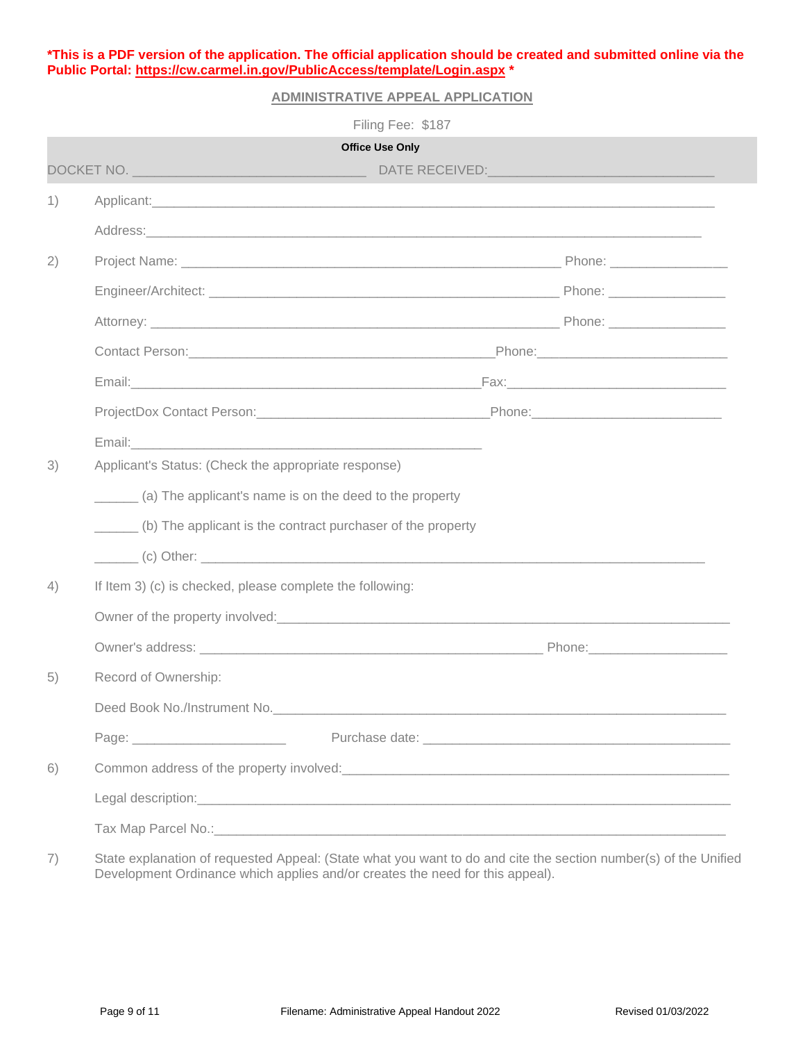**\*This is a PDF version of the application. The official application should be created and submitted online via the Public Portal:<https://cw.carmel.in.gov/PublicAccess/template/Login.aspx> \***

## **ADMINISTRATIVE APPEAL APPLICATION**

|    | Filing Fee: \$187                                                                                                                                                                                                                    |  |
|----|--------------------------------------------------------------------------------------------------------------------------------------------------------------------------------------------------------------------------------------|--|
|    | <b>Office Use Only</b>                                                                                                                                                                                                               |  |
|    |                                                                                                                                                                                                                                      |  |
| 1) | Applicant: Applicant: Applicant: Applicant: Applicant: Applicant: Applicant: Applicant: Applicant: Applicant: Applicant: Applicant: Applicant: Applicant: Applicant: Applicant: Applicant: Applicant: Applicant: Applicant: Ap       |  |
|    | Address: Address: Address: Address: Address: Address: Address: Address: Address: Address: Address: Address: Address: Address: Address: Address: Address: Address: Address: Address: Address: Address: Address: Address: Addres       |  |
| 2) |                                                                                                                                                                                                                                      |  |
|    |                                                                                                                                                                                                                                      |  |
|    |                                                                                                                                                                                                                                      |  |
|    |                                                                                                                                                                                                                                      |  |
|    |                                                                                                                                                                                                                                      |  |
|    | ProjectDox Contact Person: Contact Determination of the Contract Determination of the Contract Determination of the Contract Determination of the Contract Determination of the Contract Determination of the Contract Determi       |  |
|    |                                                                                                                                                                                                                                      |  |
| 3) | Applicant's Status: (Check the appropriate response)                                                                                                                                                                                 |  |
|    | (a) The applicant's name is on the deed to the property                                                                                                                                                                              |  |
|    | (b) The applicant is the contract purchaser of the property                                                                                                                                                                          |  |
|    | $\overline{a}$ (c) Other:                                                                                                                                                                                                            |  |
| 4) | If Item 3) (c) is checked, please complete the following:                                                                                                                                                                            |  |
|    |                                                                                                                                                                                                                                      |  |
|    |                                                                                                                                                                                                                                      |  |
| 5) | Record of Ownership:                                                                                                                                                                                                                 |  |
|    | Deed Book No./Instrument No. <b>Container and Container and Container and Container and Container and Container</b>                                                                                                                  |  |
|    |                                                                                                                                                                                                                                      |  |
| 6) | Common address of the property involved:<br><u>Common address of the property involved:</u>                                                                                                                                          |  |
|    | Legal description: <u>contract and contract and contract and contract and contract and contract and contract and contract and contract and contract and contract and contract and contract and contract and contract and contrac</u> |  |
|    | Tax Map Parcel No.: 1990 Mo.: 2008 Map Parcel No.: 2008 Map Parcel No.: 2008 Map Parcel No.: 2008 Map Parcel No                                                                                                                      |  |
|    |                                                                                                                                                                                                                                      |  |

7) State explanation of requested Appeal: (State what you want to do and cite the section number(s) of the Unified Development Ordinance which applies and/or creates the need for this appeal).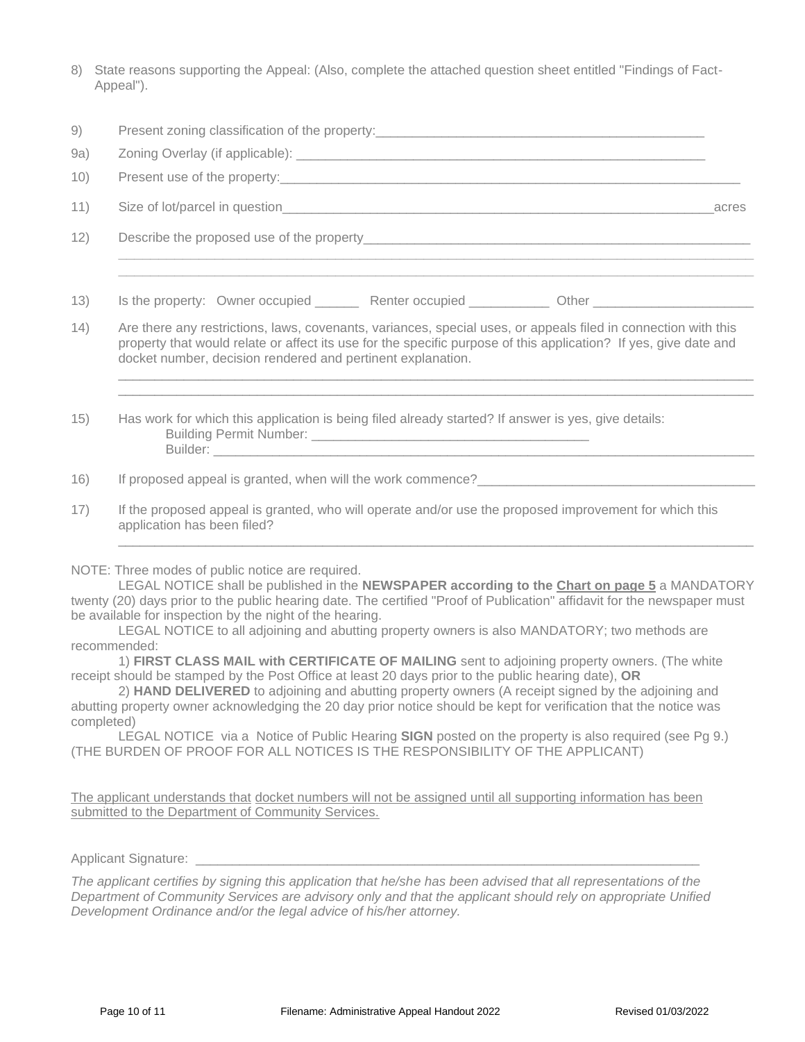8) State reasons supporting the Appeal: (Also, complete the attached question sheet entitled "Findings of Fact-Appeal").

| 9)   | Present zoning classification of the property:                                                                                                                                                                                                                                                                                                                                                                                                                                                                                                                              |       |  |
|------|-----------------------------------------------------------------------------------------------------------------------------------------------------------------------------------------------------------------------------------------------------------------------------------------------------------------------------------------------------------------------------------------------------------------------------------------------------------------------------------------------------------------------------------------------------------------------------|-------|--|
| 9a)  |                                                                                                                                                                                                                                                                                                                                                                                                                                                                                                                                                                             |       |  |
| 10)  | Present use of the property: example and the property:                                                                                                                                                                                                                                                                                                                                                                                                                                                                                                                      |       |  |
| 11)  |                                                                                                                                                                                                                                                                                                                                                                                                                                                                                                                                                                             | acres |  |
| 12)  |                                                                                                                                                                                                                                                                                                                                                                                                                                                                                                                                                                             |       |  |
|      |                                                                                                                                                                                                                                                                                                                                                                                                                                                                                                                                                                             |       |  |
| 13)  | Is the property: Owner occupied __________ Renter occupied ____________ Other ______________________                                                                                                                                                                                                                                                                                                                                                                                                                                                                        |       |  |
| (14) | Are there any restrictions, laws, covenants, variances, special uses, or appeals filed in connection with this<br>property that would relate or affect its use for the specific purpose of this application? If yes, give date and<br>docket number, decision rendered and pertinent explanation.                                                                                                                                                                                                                                                                           |       |  |
| 15)  | Has work for which this application is being filed already started? If answer is yes, give details:                                                                                                                                                                                                                                                                                                                                                                                                                                                                         |       |  |
| 16)  | If proposed appeal is granted, when will the work commence?                                                                                                                                                                                                                                                                                                                                                                                                                                                                                                                 |       |  |
| 17)  | If the proposed appeal is granted, who will operate and/or use the proposed improvement for which this<br>application has been filed?                                                                                                                                                                                                                                                                                                                                                                                                                                       |       |  |
|      | NOTE: Three modes of public notice are required.<br>LEGAL NOTICE shall be published in the NEWSPAPER according to the Chart on page 5 a MANDATORY<br>twenty (20) days prior to the public hearing date. The certified "Proof of Publication" affidavit for the newspaper must<br>be available for inspection by the night of the hearing.<br>records and the contract of the contract of the contract of the contract of the contract of the contract of the contract of the contract of the contract of the contract of the contract of the contract of the contract of th |       |  |

LEGAL NOTICE to all adjoining and abutting property owners is also MANDATORY; two methods are recommended:

1) **FIRST CLASS MAIL with CERTIFICATE OF MAILING** sent to adjoining property owners. (The white receipt should be stamped by the Post Office at least 20 days prior to the public hearing date), **OR**

2) **HAND DELIVERED** to adjoining and abutting property owners (A receipt signed by the adjoining and abutting property owner acknowledging the 20 day prior notice should be kept for verification that the notice was completed)

LEGAL NOTICE via a Notice of Public Hearing **SIGN** posted on the property is also required (see Pg 9.) (THE BURDEN OF PROOF FOR ALL NOTICES IS THE RESPONSIBILITY OF THE APPLICANT)

The applicant understands that docket numbers will not be assigned until all supporting information has been submitted to the Department of Community Services.

Applicant Signature: \_

*The applicant certifies by signing this application that he/she has been advised that all representations of the Department of Community Services are advisory only and that the applicant should rely on appropriate Unified Development Ordinance and/or the legal advice of his/her attorney.*